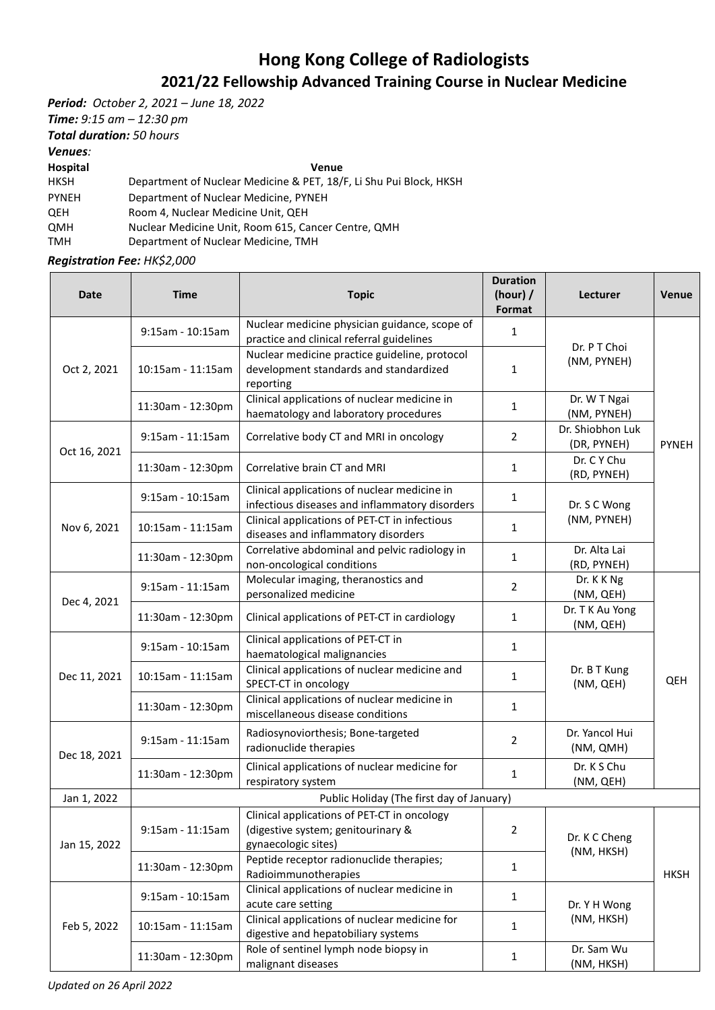## **Hong Kong College of Radiologists 2021/22 Fellowship Advanced Training Course in Nuclear Medicine**

*Period: October 2, 2021 – June 18, 2022*

*Time: 9:15 am – 12:30 pm*

*Total duration: 50 hours*

*Venues:* 

**Hospital Venue**

HKSH Department of Nuclear Medicine & PET, 18/F, Li Shu Pui Block, HKSH

PYNEH Department of Nuclear Medicine, PYNEH

QEH Room 4, Nuclear Medicine Unit, QEH QMH Nuclear Medicine Unit, Room 615, Cancer Centre, QMH

TMH Department of Nuclear Medicine, TMH

*Registration Fee: HK\$2,000*

| <b>Date</b>  | Time                                      | <b>Topic</b>                                                                                             | <b>Duration</b><br>(hour) $/$<br>Format | <b>Lecturer</b>                 | Venue        |  |  |
|--------------|-------------------------------------------|----------------------------------------------------------------------------------------------------------|-----------------------------------------|---------------------------------|--------------|--|--|
| Oct 2, 2021  | 9:15am - 10:15am                          | Nuclear medicine physician guidance, scope of<br>practice and clinical referral guidelines               | 1                                       | Dr. P T Choi<br>(NM, PYNEH)     | <b>PYNEH</b> |  |  |
|              | 10:15am - 11:15am                         | Nuclear medicine practice guideline, protocol<br>development standards and standardized<br>reporting     | $\mathbf{1}$                            |                                 |              |  |  |
|              | 11:30am - 12:30pm                         | Clinical applications of nuclear medicine in<br>haematology and laboratory procedures                    | $\mathbf{1}$                            | Dr. W T Ngai<br>(NM, PYNEH)     |              |  |  |
| Oct 16, 2021 | 9:15am - 11:15am                          | Correlative body CT and MRI in oncology                                                                  | $\overline{2}$                          | Dr. Shiobhon Luk<br>(DR, PYNEH) |              |  |  |
|              | 11:30am - 12:30pm                         | Correlative brain CT and MRI                                                                             | $\mathbf{1}$                            | Dr. C Y Chu<br>(RD, PYNEH)      |              |  |  |
| Nov 6, 2021  | 9:15am - 10:15am                          | Clinical applications of nuclear medicine in<br>infectious diseases and inflammatory disorders           | 1                                       | Dr. S C Wong<br>(NM, PYNEH)     |              |  |  |
|              | 10:15am - 11:15am                         | Clinical applications of PET-CT in infectious<br>diseases and inflammatory disorders                     | $\mathbf{1}$                            |                                 |              |  |  |
|              | 11:30am - 12:30pm                         | Correlative abdominal and pelvic radiology in<br>non-oncological conditions                              | $\mathbf{1}$                            | Dr. Alta Lai<br>(RD, PYNEH)     |              |  |  |
| Dec 4, 2021  | $9:15$ am - 11:15am                       | Molecular imaging, theranostics and<br>personalized medicine                                             | $\overline{2}$                          | Dr. K K Ng<br>(NM, QEH)         | QEH          |  |  |
|              | 11:30am - 12:30pm                         | Clinical applications of PET-CT in cardiology                                                            | 1                                       | Dr. T K Au Yong<br>(NM, QEH)    |              |  |  |
| Dec 11, 2021 | 9:15am - 10:15am                          | Clinical applications of PET-CT in<br>haematological malignancies                                        | $\mathbf{1}$                            | Dr. B T Kung<br>(NM, QEH)       |              |  |  |
|              | 10:15am - 11:15am                         | Clinical applications of nuclear medicine and<br>SPECT-CT in oncology                                    | 1                                       |                                 |              |  |  |
|              | 11:30am - 12:30pm                         | Clinical applications of nuclear medicine in<br>miscellaneous disease conditions                         | 1                                       |                                 |              |  |  |
| Dec 18, 2021 | 9:15am - 11:15am                          | Radiosynoviorthesis; Bone-targeted<br>radionuclide therapies                                             | $\overline{2}$                          | Dr. Yancol Hui<br>(NM, QMH)     |              |  |  |
|              | 11:30am - 12:30pm                         | Clinical applications of nuclear medicine for<br>respiratory system                                      | 1                                       | Dr. K S Chu<br>(NM, QEH)        |              |  |  |
| Jan 1, 2022  | Public Holiday (The first day of January) |                                                                                                          |                                         |                                 |              |  |  |
| Jan 15, 2022 | 9:15am - 11:15am                          | Clinical applications of PET-CT in oncology<br>(digestive system; genitourinary &<br>gynaecologic sites) | $\overline{2}$                          | Dr. K C Cheng<br>(NM, HKSH)     | <b>HKSH</b>  |  |  |
|              | 11:30am - 12:30pm                         | Peptide receptor radionuclide therapies;<br>Radioimmunotherapies                                         | $\mathbf{1}$                            |                                 |              |  |  |
| Feb 5, 2022  | 9:15am - 10:15am                          | Clinical applications of nuclear medicine in<br>acute care setting                                       | $\mathbf{1}$                            | Dr. Y H Wong<br>(NM, HKSH)      |              |  |  |
|              | 10:15am - 11:15am                         | Clinical applications of nuclear medicine for<br>digestive and hepatobiliary systems                     | $\mathbf{1}$                            |                                 |              |  |  |
|              | 11:30am - 12:30pm                         | Role of sentinel lymph node biopsy in<br>malignant diseases                                              | $\mathbf{1}$                            | Dr. Sam Wu<br>(NM, HKSH)        |              |  |  |

*Updated on 26 April 2022*